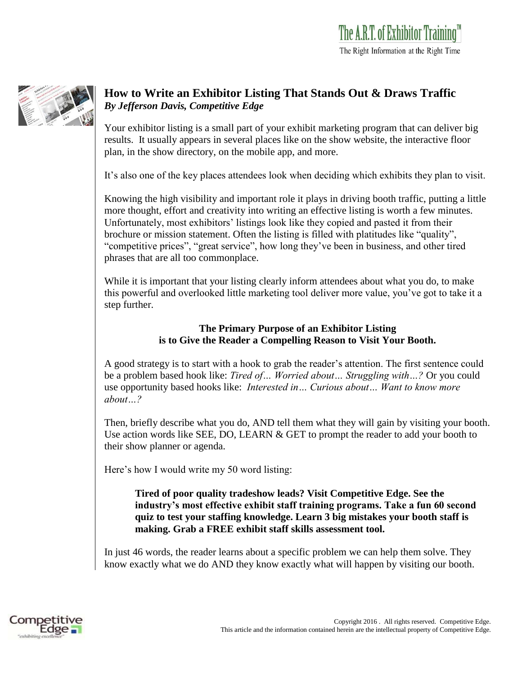

## **How to Write an Exhibitor Listing That Stands Out & Draws Traffic** *By Jefferson Davis, Competitive Edge*

Your exhibitor listing is a small part of your exhibit marketing program that can deliver big results. It usually appears in several places like on the show website, the interactive floor plan, in the show directory, on the mobile app, and more.

It's also one of the key places attendees look when deciding which exhibits they plan to visit.

Knowing the high visibility and important role it plays in driving booth traffic, putting a little more thought, effort and creativity into writing an effective listing is worth a few minutes. Unfortunately, most exhibitors' listings look like they copied and pasted it from their brochure or mission statement. Often the listing is filled with platitudes like "quality", "competitive prices", "great service", how long they've been in business, and other tired phrases that are all too commonplace.

While it is important that your listing clearly inform attendees about what you do, to make this powerful and overlooked little marketing tool deliver more value, you've got to take it a step further.

## **The Primary Purpose of an Exhibitor Listing is to Give the Reader a Compelling Reason to Visit Your Booth.**

A good strategy is to start with a hook to grab the reader's attention. The first sentence could be a problem based hook like: *Tired of… Worried about… Struggling with…?* Or you could use opportunity based hooks like: *Interested in… Curious about… Want to know more about…?*

Then, briefly describe what you do, AND tell them what they will gain by visiting your booth. Use action words like SEE, DO, LEARN & GET to prompt the reader to add your booth to their show planner or agenda.

Here's how I would write my 50 word listing:

**Tired of poor quality tradeshow leads? Visit Competitive Edge. See the industry's most effective exhibit staff training programs. Take a fun 60 second quiz to test your staffing knowledge. Learn 3 big mistakes your booth staff is making. Grab a FREE exhibit staff skills assessment tool.**

In just 46 words, the reader learns about a specific problem we can help them solve. They know exactly what we do AND they know exactly what will happen by visiting our booth.